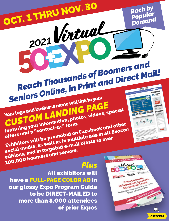

## All exhibitors will have a FULL-PAGE COLOR AD in

our glossy Expo Program Guide to be DIRECT-MAILED to more than 8,000 attendees of prior Expos

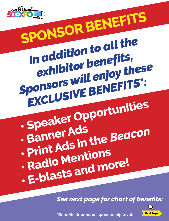

**SPONSOR BENEFITS** *In addition to all the exhibitor benefits, Sponsors will enjoy these EXCLUSIVE BENEFITS\*:*

- **Speaker Opportunities**
- **Banner Ads • Print Ads in the** *Beacon*
- **Radio Mentions**
- **E-blasts and more!**

*See next page for chart of benefits:*



**\*Benefits depend on sponsorship level.**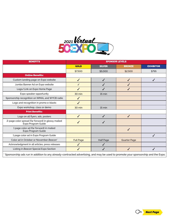

| <b>BENEFITS</b>                                                                                                                  | <b>SPONSOR LEVELS</b> |                  |                     |                  |
|----------------------------------------------------------------------------------------------------------------------------------|-----------------------|------------------|---------------------|------------------|
|                                                                                                                                  | <b>GOLD</b>           | <b>SILVER</b>    | <b>BRONZE</b>       | <b>EXHIBITOR</b> |
|                                                                                                                                  | \$7,500               | \$5,000          | \$2,500             | \$795            |
| <b>Online Benefits:</b>                                                                                                          |                       |                  |                     |                  |
| Custom landing page on Expo website                                                                                              | ✓                     | ✓                | J                   |                  |
| Jumbo Banner Ad on Expo website                                                                                                  | ✓                     |                  |                     |                  |
| Logo/Link on Expo Home Page                                                                                                      |                       |                  |                     |                  |
| Expo speaker opportunity                                                                                                         | 30 min                | $15 \text{ min}$ |                     |                  |
| Sponsorship recognition on WMAL and WYCB radio                                                                                   | ✓                     |                  |                     |                  |
| Logo and recognition in promo e-blasts                                                                                           |                       |                  |                     |                  |
| Expo workshop, class or demo                                                                                                     | 30 min                | 15 min           |                     |                  |
| <b>Print Benefits:</b>                                                                                                           |                       |                  |                     |                  |
| Logo on all flyers, ads, posters                                                                                                 | ✓                     | J                | J                   |                  |
| 2-page color spread (far forward) in glossy mailed<br>Expo Program Guide                                                         |                       |                  |                     |                  |
| 1 page color ad (far forward) in mailed<br>Expo Program Guide                                                                    |                       |                  | J                   |                  |
| 1 page color ad in Expo Program Guide                                                                                            |                       |                  |                     |                  |
| Color ad in October or November Beacon*                                                                                          | <b>Full Page</b>      | <b>Half Page</b> | <b>Quarter Page</b> |                  |
| Acknowledgment in all articles, press releases                                                                                   |                       |                  |                     |                  |
| Listing in Beacon Special Expo Section                                                                                           | J                     |                  |                     |                  |
| Sponsorship ads run in addition to any already-contracted advertising, and may be used to promote your sponsorship and the Expo. |                       |                  |                     |                  |

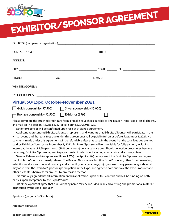

**EXHIBITOR/SPONSOR AGREEMENT**

| Virtual 50+Expo, October-November 2021                                                                                                                                                                                                                                                                |                                                                                                                                                                                                                                                                                                                                                                                                                                                                                                                                                                                                                                                                                                                                                                                                                                                                                                                                                                                                                                                                                                                                                                                                                                                                                                                                                                                                                                                                                                                                                                                |
|-------------------------------------------------------------------------------------------------------------------------------------------------------------------------------------------------------------------------------------------------------------------------------------------------------|--------------------------------------------------------------------------------------------------------------------------------------------------------------------------------------------------------------------------------------------------------------------------------------------------------------------------------------------------------------------------------------------------------------------------------------------------------------------------------------------------------------------------------------------------------------------------------------------------------------------------------------------------------------------------------------------------------------------------------------------------------------------------------------------------------------------------------------------------------------------------------------------------------------------------------------------------------------------------------------------------------------------------------------------------------------------------------------------------------------------------------------------------------------------------------------------------------------------------------------------------------------------------------------------------------------------------------------------------------------------------------------------------------------------------------------------------------------------------------------------------------------------------------------------------------------------------------|
| Gold sponsorship (\$7,500)                                                                                                                                                                                                                                                                            | Silver sponsorship (\$5,000)                                                                                                                                                                                                                                                                                                                                                                                                                                                                                                                                                                                                                                                                                                                                                                                                                                                                                                                                                                                                                                                                                                                                                                                                                                                                                                                                                                                                                                                                                                                                                   |
| Bronze sponsorship (\$2,500) [ Exhibitor (\$795)                                                                                                                                                                                                                                                      |                                                                                                                                                                                                                                                                                                                                                                                                                                                                                                                                                                                                                                                                                                                                                                                                                                                                                                                                                                                                                                                                                                                                                                                                                                                                                                                                                                                                                                                                                                                                                                                |
| and mail to: The Beacon, P.O. Box 2227, Silver Spring, MD 20915-2227.<br>Exhibitor/Sponsor will be confirmed upon receipt of signed agreement.<br>other presenters harmless for any loss by any reason thereof.<br>parties upon acceptance by the Expo Producer.<br>distributed by the Expo Producer. | Please complete the attached credit card form, or make your check payable to The Beacon (note "Expo" on all checks),<br>Applicant, representing Exhibitor/Sponsor, represents and warrants that Exhibitor/Sponsor will participate in the<br>virtual event, and that total fees due under this agreement shall be paid in full on or before September 1, 2021. No<br>payments made under this agreement will be refundable after that date. In the event that the total fees due are not<br>paid by Exhibitor/Sponsor by September 1, 2021, Exhibitor/Sponsor will remain liable for full payment, including<br>interest at the rate of 1.5% per month (18% per annum) on any balance due. Should collection procedures become<br>necessary, Exhibitor/Sponsor agrees to pay all costs of collection, including court costs and attorney's fees.<br>General Release and Acceptance of Rules: I (We) the Applicant(s) do represent the Exhibitor/Sponsor, and agree<br>that Exhibitor/Sponsor expressly releases The Beacon Newspapers, Inc. (the Expo Producer), other Expo presenters,<br>exhibitors and sponsors of and from any and all liability for any damage, injury or loss to any person or goods which<br>may arise from the Exhibitor/Sponsor's participation in the Expo, and agree to hold and save the Expo Producer and<br>It is mutually agreed that all information on this application is part of this contract and will be binding on both<br>I (We) the Applicant agree that our Company name may be included in any advertising and promotional materials |
|                                                                                                                                                                                                                                                                                                       | Date $\_\_$                                                                                                                                                                                                                                                                                                                                                                                                                                                                                                                                                                                                                                                                                                                                                                                                                                                                                                                                                                                                                                                                                                                                                                                                                                                                                                                                                                                                                                                                                                                                                                    |

Applicant Signature \_ Beacon Account Executive \_\_\_\_\_\_\_\_\_\_\_\_\_\_\_\_\_\_\_\_\_\_\_\_\_\_\_\_\_\_\_\_\_\_\_\_ Date \_\_\_\_\_\_\_\_\_\_\_\_\_\_\_\_\_\_\_\_\_\_ *Next Page*